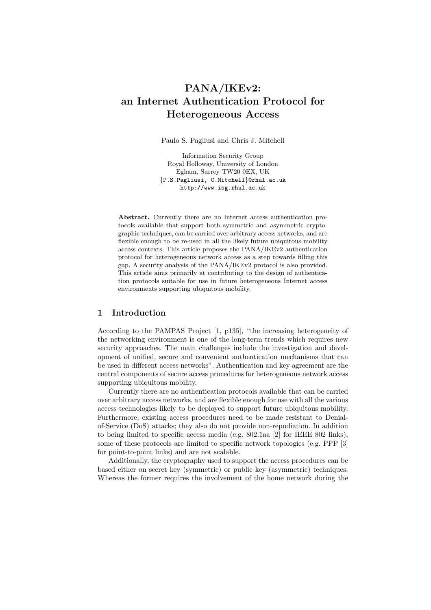# PANA/IKEv2: an Internet Authentication Protocol for Heterogeneous Access

Paulo S. Pagliusi and Chris J. Mitchell

Information Security Group Royal Holloway, University of London Egham, Surrey TW20 0EX, UK {P.S.Pagliusi, C.Mitchell}@rhul.ac.uk http://www.isg.rhul.ac.uk

Abstract. Currently there are no Internet access authentication protocols available that support both symmetric and asymmetric cryptographic techniques, can be carried over arbitrary access networks, and are flexible enough to be re-used in all the likely future ubiquitous mobility access contexts. This article proposes the PANA/IKEv2 authentication protocol for heterogeneous network access as a step towards filling this gap. A security analysis of the PANA/IKEv2 protocol is also provided. This article aims primarily at contributing to the design of authentication protocols suitable for use in future heterogeneous Internet access environments supporting ubiquitous mobility.

## 1 Introduction

According to the PAMPAS Project [1, p135], "the increasing heterogeneity of the networking environment is one of the long-term trends which requires new security approaches. The main challenges include the investigation and development of unified, secure and convenient authentication mechanisms that can be used in different access networks". Authentication and key agreement are the central components of secure access procedures for heterogeneous network access supporting ubiquitous mobility.

Currently there are no authentication protocols available that can be carried over arbitrary access networks, and are flexible enough for use with all the various access technologies likely to be deployed to support future ubiquitous mobility. Furthermore, existing access procedures need to be made resistant to Denialof-Service (DoS) attacks; they also do not provide non-repudiation. In addition to being limited to specific access media (e.g. 802.1aa [2] for IEEE 802 links), some of these protocols are limited to specific network topologies (e.g. PPP [3] for point-to-point links) and are not scalable.

Additionally, the cryptography used to support the access procedures can be based either on secret key (symmetric) or public key (asymmetric) techniques. Whereas the former requires the involvement of the home network during the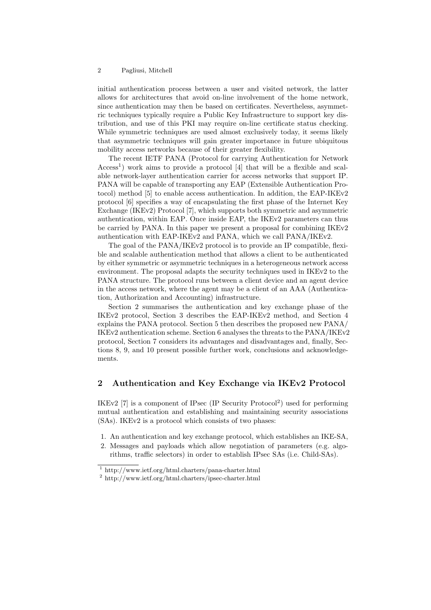initial authentication process between a user and visited network, the latter allows for architectures that avoid on-line involvement of the home network, since authentication may then be based on certificates. Nevertheless, asymmetric techniques typically require a Public Key Infrastructure to support key distribution, and use of this PKI may require on-line certificate status checking. While symmetric techniques are used almost exclusively today, it seems likely that asymmetric techniques will gain greater importance in future ubiquitous mobility access networks because of their greater flexibility.

The recent IETF PANA (Protocol for carrying Authentication for Network  $\text{Access}^1$ ) work aims to provide a protocol [4] that will be a flexible and scalable network-layer authentication carrier for access networks that support IP. PANA will be capable of transporting any EAP (Extensible Authentication Protocol) method [5] to enable access authentication. In addition, the EAP-IKEv2 protocol [6] specifies a way of encapsulating the first phase of the Internet Key Exchange (IKEv2) Protocol [7], which supports both symmetric and asymmetric authentication, within EAP. Once inside EAP, the IKEv2 parameters can thus be carried by PANA. In this paper we present a proposal for combining IKEv2 authentication with EAP-IKEv2 and PANA, which we call PANA/IKEv2.

The goal of the PANA/IKEv2 protocol is to provide an IP compatible, flexible and scalable authentication method that allows a client to be authenticated by either symmetric or asymmetric techniques in a heterogeneous network access environment. The proposal adapts the security techniques used in IKEv2 to the PANA structure. The protocol runs between a client device and an agent device in the access network, where the agent may be a client of an AAA (Authentication, Authorization and Accounting) infrastructure.

Section 2 summarises the authentication and key exchange phase of the IKEv2 protocol, Section 3 describes the EAP-IKEv2 method, and Section 4 explains the PANA protocol. Section 5 then describes the proposed new PANA/ IKEv2 authentication scheme. Section 6 analyses the threats to the PANA/IKEv2 protocol, Section 7 considers its advantages and disadvantages and, finally, Sections 8, 9, and 10 present possible further work, conclusions and acknowledgements.

# 2 Authentication and Key Exchange via IKEv2 Protocol

IKEv2 [7] is a component of IPsec (IP Security Protocol<sup>2</sup> ) used for performing mutual authentication and establishing and maintaining security associations (SAs). IKEv2 is a protocol which consists of two phases:

- 1. An authentication and key exchange protocol, which establishes an IKE-SA,
- 2. Messages and payloads which allow negotiation of parameters (e.g. algorithms, traffic selectors) in order to establish IPsec SAs (i.e. Child-SAs).

<sup>1</sup> http://www.ietf.org/html.charters/pana-charter.html

 $^2$ http://www.ietf.org/html.charters/ipsec-charter.html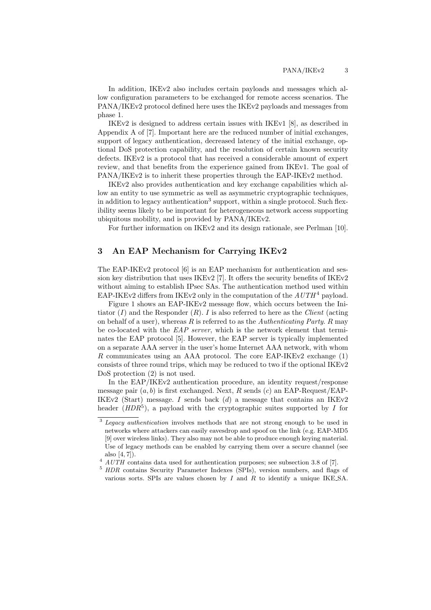In addition, IKEv2 also includes certain payloads and messages which allow configuration parameters to be exchanged for remote access scenarios. The PANA/IKEv2 protocol defined here uses the IKEv2 payloads and messages from phase 1.

IKEv2 is designed to address certain issues with IKEv1 [8], as described in Appendix A of [7]. Important here are the reduced number of initial exchanges, support of legacy authentication, decreased latency of the initial exchange, optional DoS protection capability, and the resolution of certain known security defects. IKEv2 is a protocol that has received a considerable amount of expert review, and that benefits from the experience gained from IKEv1. The goal of PANA/IKEv2 is to inherit these properties through the EAP-IKEv2 method.

IKEv2 also provides authentication and key exchange capabilities which allow an entity to use symmetric as well as asymmetric cryptographic techniques, in addition to legacy authentication<sup>3</sup> support, within a single protocol. Such flexibility seems likely to be important for heterogeneous network access supporting ubiquitous mobility, and is provided by PANA/IKEv2.

For further information on IKEv2 and its design rationale, see Perlman [10].

# 3 An EAP Mechanism for Carrying IKEv2

The EAP-IKEv2 protocol [6] is an EAP mechanism for authentication and session key distribution that uses IKEv2 [7]. It offers the security benefits of IKEv2 without aiming to establish IPsec SAs. The authentication method used within EAP-IKEv2 differs from IKEv2 only in the computation of the  $AUTH<sup>4</sup>$  payload.

Figure 1 shows an EAP-IKEv2 message flow, which occurs between the Initiator  $(I)$  and the Responder  $(R)$ . I is also referred to here as the *Client* (acting on behalf of a user), whereas  $R$  is referred to as the *Authenticating Party.*  $R$  may be co-located with the EAP server, which is the network element that terminates the EAP protocol [5]. However, the EAP server is typically implemented on a separate AAA server in the user's home Internet AAA network, with whom R communicates using an AAA protocol. The core EAP-IKEv2 exchange (1) consists of three round trips, which may be reduced to two if the optional IKEv2 DoS protection (2) is not used.

In the EAP/IKEv2 authentication procedure, an identity request/response message pair  $(a, b)$  is first exchanged. Next, R sends  $(c)$  an EAP-Request/EAP-IKEv2 (Start) message. I sends back (d) a message that contains an IKEv2 header  $(HDR^5)$ , a payload with the cryptographic suites supported by I for

<sup>&</sup>lt;sup>3</sup> Legacy authentication involves methods that are not strong enough to be used in networks where attackers can easily eavesdrop and spoof on the link (e.g. EAP-MD5 [9] over wireless links). They also may not be able to produce enough keying material. Use of legacy methods can be enabled by carrying them over a secure channel (see also [4, 7]).

 $4$   $\overrightarrow{A}$   $\overrightarrow{U}$   $\overrightarrow{H}$  contains data used for authentication purposes; see subsection 3.8 of [7].

<sup>&</sup>lt;sup>5</sup> HDR contains Security Parameter Indexes (SPIs), version numbers, and flags of various sorts. SPIs are values chosen by  $I$  and  $R$  to identify a unique IKE SA.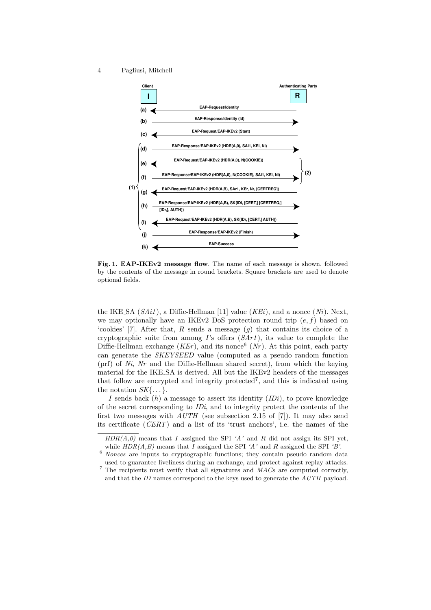

Fig. 1. EAP-IKEv2 message flow. The name of each message is shown, followed by the contents of the message in round brackets. Square brackets are used to denote optional fields.

the IKE SA  $(SAi1)$ , a Diffie-Hellman [11] value  $(KEi)$ , and a nonce  $(Ni)$ . Next, we may optionally have an IKEv2 DoS protection round trip  $(e, f)$  based on 'cookies' [7]. After that, R sends a message  $(q)$  that contains its choice of a cryptographic suite from among  $I$ 's offers  $(SAr1)$ , its value to complete the Diffie-Hellman exchange  $(KEr)$ , and its nonce<sup>6</sup> (Nr). At this point, each party can generate the SKEYSEED value (computed as a pseudo random function  $(prf)$  of  $Ni$ ,  $Nr$  and the Diffie-Hellman shared secret), from which the keying material for the IKE SA is derived. All but the IKEv2 headers of the messages that follow are encrypted and integrity protected<sup>7</sup>, and this is indicated using the notation  $SK\{\ldots\}$ .

I sends back  $(h)$  a message to assert its identity  $(IDi)$ , to prove knowledge of the secret corresponding to  $IDi$ , and to integrity protect the contents of the first two messages with  $AUTH$  (see subsection 2.15 of [7]). It may also send its certificate (CERT) and a list of its 'trust anchors', i.e. the names of the

 $HDR(A,0)$  means that I assigned the SPI 'A' and R did not assign its SPI yet, while  $HDR(A, B)$  means that I assigned the SPI 'A' and R assigned the SPI 'B'.

 $6$  Nonces are inputs to cryptographic functions; they contain pseudo random data used to guarantee liveliness during an exchange, and protect against replay attacks.

 $7$  The recipients must verify that all signatures and  $MACs$  are computed correctly, and that the ID names correspond to the keys used to generate the AUTH payload.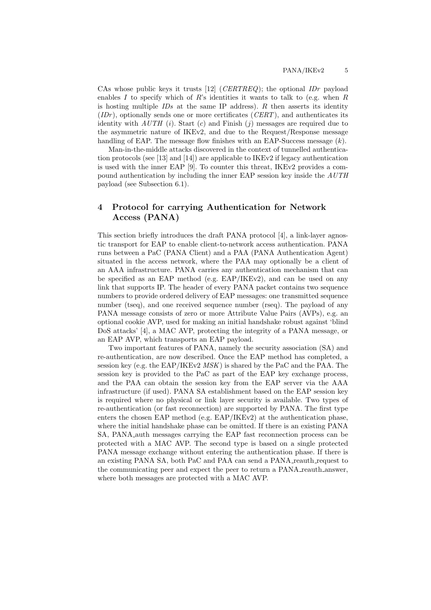CAs whose public keys it trusts  $[12]$  (*CERTREQ*); the optional *IDr* payload enables I to specify which of R's identities it wants to talk to (e.g. when R is hosting multiple  $IDs$  at the same IP address).  $R$  then asserts its identity  $(IDr)$ , optionally sends one or more certificates  $(CERT)$ , and authenticates its identity with  $AUTH$  (i). Start (c) and Finish (i) messages are required due to the asymmetric nature of IKEv2, and due to the Request/Response message handling of EAP. The message flow finishes with an EAP-Success message  $(k)$ .

Man-in-the-middle attacks discovered in the context of tunnelled authentication protocols (see [13] and [14]) are applicable to IKEv2 if legacy authentication is used with the inner EAP [9]. To counter this threat, IKEv2 provides a compound authentication by including the inner EAP session key inside the  $AUTH$ payload (see Subsection 6.1).

# 4 Protocol for carrying Authentication for Network Access (PANA)

This section briefly introduces the draft PANA protocol [4], a link-layer agnostic transport for EAP to enable client-to-network access authentication. PANA runs between a PaC (PANA Client) and a PAA (PANA Authentication Agent) situated in the access network, where the PAA may optionally be a client of an AAA infrastructure. PANA carries any authentication mechanism that can be specified as an EAP method (e.g. EAP/IKEv2), and can be used on any link that supports IP. The header of every PANA packet contains two sequence numbers to provide ordered delivery of EAP messages: one transmitted sequence number (tseq), and one received sequence number (rseq). The payload of any PANA message consists of zero or more Attribute Value Pairs (AVPs), e.g. an optional cookie AVP, used for making an initial handshake robust against 'blind DoS attacks' [4], a MAC AVP, protecting the integrity of a PANA message, or an EAP AVP, which transports an EAP payload.

Two important features of PANA, namely the security association (SA) and re-authentication, are now described. Once the EAP method has completed, a session key (e.g. the EAP/IKEv2  $MSK$ ) is shared by the PaC and the PAA. The session key is provided to the PaC as part of the EAP key exchange process, and the PAA can obtain the session key from the EAP server via the AAA infrastructure (if used). PANA SA establishment based on the EAP session key is required where no physical or link layer security is available. Two types of re-authentication (or fast reconnection) are supported by PANA. The first type enters the chosen EAP method (e.g. EAP/IKEv2) at the authentication phase, where the initial handshake phase can be omitted. If there is an existing PANA SA, PANA auth messages carrying the EAP fast reconnection process can be protected with a MAC AVP. The second type is based on a single protected PANA message exchange without entering the authentication phase. If there is an existing PANA SA, both PaC and PAA can send a PANA reauth request to the communicating peer and expect the peer to return a PANA reauth answer, where both messages are protected with a MAC AVP.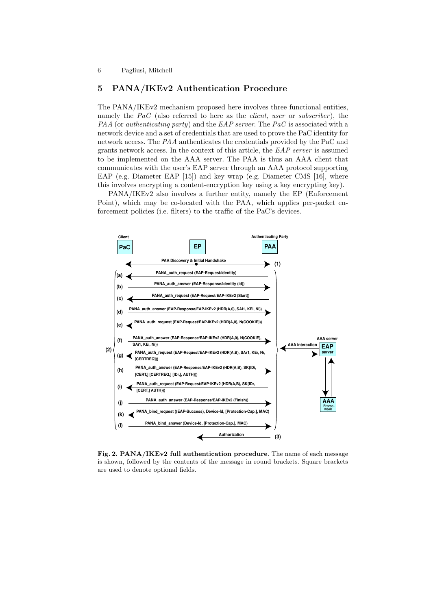# 5 PANA/IKEv2 Authentication Procedure

The PANA/IKEv2 mechanism proposed here involves three functional entities, namely the  $PaC$  (also referred to here as the *client, user* or *subscriber*), the  $PAA$  (or *authenticating party*) and the  $EAP$  server. The  $PaC$  is associated with a network device and a set of credentials that are used to prove the PaC identity for network access. The PAA authenticates the credentials provided by the PaC and grants network access. In the context of this article, the EAP server is assumed to be implemented on the AAA server. The PAA is thus an AAA client that communicates with the user's EAP server through an AAA protocol supporting EAP (e.g. Diameter EAP [15]) and key wrap (e.g. Diameter CMS [16], where this involves encrypting a content-encryption key using a key encrypting key).

PANA/IKEv2 also involves a further entity, namely the EP (Enforcement Point), which may be co-located with the PAA, which applies per-packet enforcement policies (i.e. filters) to the traffic of the PaC's devices.



Fig. 2. PANA/IKEv2 full authentication procedure. The name of each message is shown, followed by the contents of the message in round brackets. Square brackets are used to denote optional fields.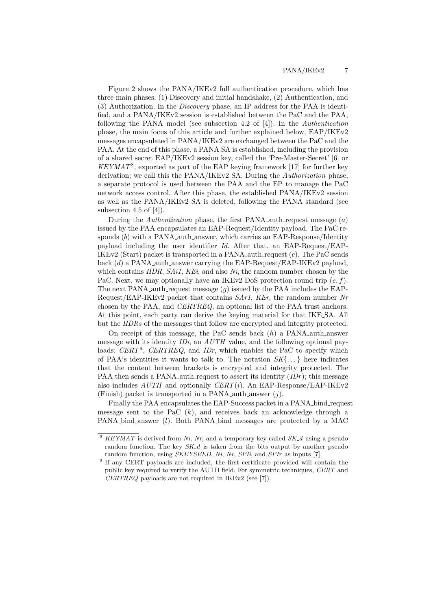Figure 2 shows the PANA/IKEv2 full authentication procedure, which has three main phases: (1) Discovery and initial handshake, (2) Authentication, and (3) Authorization. In the Discovery phase, an IP address for the PAA is identified, and a PANA/IKEv2 session is established between the PaC and the PAA, following the PANA model (see subsection 4.2 of [4]). In the *Authentication* phase, the main focus of this article and further explained below, EAP/IKEv2 messages encapsulated in PANA/IKEv2 are exchanged between the PaC and the PAA. At the end of this phase, a PANA SA is established, including the provision of a shared secret EAP/IKEv2 session key, called the 'Pre-Master-Secret' [6] or  $KEYMAT<sup>8</sup>$ , exported as part of the EAP keying framework [17] for further key derivation; we call this the PANA/IKEv2 SA. During the *Authorization* phase, a separate protocol is used between the PAA and the EP to manage the PaC network access control. After this phase, the established PANA/IKEv2 session as well as the PANA/IKEv2 SA is deleted, following the PANA standard (see subsection 4.5 of  $[4]$ ).

During the *Authentication* phase, the first PANA auth request message  $(a)$ issued by the PAA encapsulates an EAP-Request/Identity payload. The PaC responds  $(b)$  with a PANA auth answer, which carries an EAP-Response/Identity payload including the user identifier Id. After that, an EAP-Request/EAP-IKEv2 (Start) packet is transported in a PANA auth request  $(c)$ . The PaC sends back (d) a PANA auth answer carrying the EAP-Request/EAP-IKEv2 payload, which contains  $HDR$ ,  $SAi1$ ,  $KEi$ , and also  $Ni$ , the random number chosen by the PaC. Next, we may optionally have an IKEv2 DoS protection round trip  $(e, f)$ . The next PANA auth request message  $(g)$  issued by the PAA includes the EAP-Request/EAP-IKEv2 packet that contains SAr1, KEr, the random number Nr chosen by the PAA, and CERTREQ, an optional list of the PAA trust anchors. At this point, each party can derive the keying material for that IKE SA. All but the HDRs of the messages that follow are encrypted and integrity protected.

On receipt of this message, the PaC sends back  $(h)$  a PANA auth answer message with its identity  $IDi$ , an  $AUTH$  value, and the following optional payloads:  $CERT^9$ ,  $CERTREQ$ , and IDr, which enables the PaC to specify which of PAA's identities it wants to talk to. The notation  $SK\{\ldots\}$  here indicates that the content between brackets is encrypted and integrity protected. The PAA then sends a PANA auth request to assert its identity  $(IDr)$ ; this message also includes  $AUTH$  and optionally  $CERT(i)$ . An EAP-Response/EAP-IKEv2 (Finish) packet is transported in a PANA auth answer  $(i)$ .

Finally the PAA encapsulates the EAP-Success packet in a PANA bind request message sent to the PaC  $(k)$ , and receives back an acknowledge through a PANA bind answer  $(l)$ . Both PANA bind messages are protected by a MAC

 $8$  KEYMAT is derived from Ni, Nr, and a temporary key called SK\_d using a pseudo random function. The key  $SK_d$  is taken from the bits output by another pseudo random function, using SKEYSEED, Ni, Nr, SPIi, and SPIr as inputs [7].

<sup>&</sup>lt;sup>9</sup> If any CERT payloads are included, the first certificate provided will contain the public key required to verify the AUTH field. For symmetric techniques, CERT and CERTREQ payloads are not required in IKEv2 (see [7]).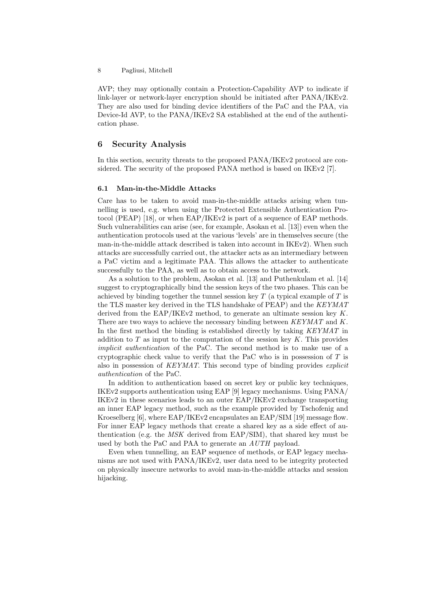AVP; they may optionally contain a Protection-Capability AVP to indicate if link-layer or network-layer encryption should be initiated after PANA/IKEv2. They are also used for binding device identifiers of the PaC and the PAA, via Device-Id AVP, to the PANA/IKEv2 SA established at the end of the authentication phase.

## 6 Security Analysis

In this section, security threats to the proposed PANA/IKEv2 protocol are considered. The security of the proposed PANA method is based on IKEv2 [7].

#### 6.1 Man-in-the-Middle Attacks

Care has to be taken to avoid man-in-the-middle attacks arising when tunnelling is used, e.g. when using the Protected Extensible Authentication Protocol (PEAP) [18], or when EAP/IKEv2 is part of a sequence of EAP methods. Such vulnerabilities can arise (see, for example, Asokan et al. [13]) even when the authentication protocols used at the various 'levels' are in themselves secure (the man-in-the-middle attack described is taken into account in IKEv2). When such attacks are successfully carried out, the attacker acts as an intermediary between a PaC victim and a legitimate PAA. This allows the attacker to authenticate successfully to the PAA, as well as to obtain access to the network.

As a solution to the problem, Asokan et al. [13] and Puthenkulam et al. [14] suggest to cryptographically bind the session keys of the two phases. This can be achieved by binding together the tunnel session key  $T$  (a typical example of  $T$  is the TLS master key derived in the TLS handshake of PEAP) and the KEYMAT derived from the  $EAP/IKEv2$  method, to generate an ultimate session key K. There are two ways to achieve the necessary binding between  $KEYMAT$  and  $K$ . In the first method the binding is established directly by taking KEYMAT in addition to  $T$  as input to the computation of the session key  $K$ . This provides implicit authentication of the PaC. The second method is to make use of a cryptographic check value to verify that the PaC who is in possession of  $T$  is also in possession of KEYMAT. This second type of binding provides explicit authentication of the PaC.

In addition to authentication based on secret key or public key techniques, IKEv2 supports authentication using EAP [9] legacy mechanisms. Using PANA/ IKEv2 in these scenarios leads to an outer EAP/IKEv2 exchange transporting an inner EAP legacy method, such as the example provided by Tschofenig and Kroeselberg [6], where EAP/IKEv2 encapsulates an EAP/SIM [19] message flow. For inner EAP legacy methods that create a shared key as a side effect of authentication (e.g. the  $MSK$  derived from EAP/SIM), that shared key must be used by both the PaC and PAA to generate an AUTH payload.

Even when tunnelling, an EAP sequence of methods, or EAP legacy mechanisms are not used with PANA/IKEv2, user data need to be integrity protected on physically insecure networks to avoid man-in-the-middle attacks and session hijacking.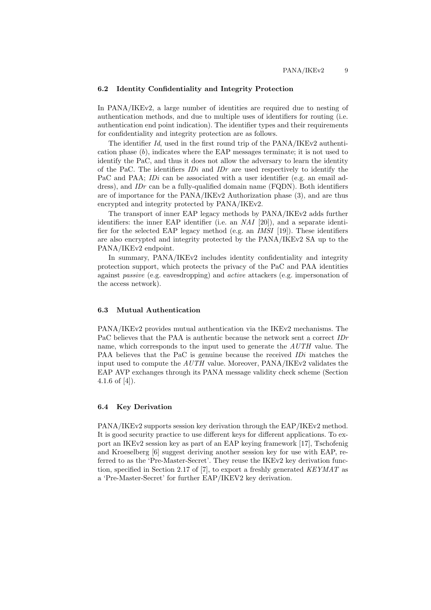#### 6.2 Identity Confidentiality and Integrity Protection

In PANA/IKEv2, a large number of identities are required due to nesting of authentication methods, and due to multiple uses of identifiers for routing (i.e. authentication end point indication). The identifier types and their requirements for confidentiality and integrity protection are as follows.

The identifier Id, used in the first round trip of the PANA/IKEv2 authentication phase (b), indicates where the EAP messages terminate; it is not used to identify the PaC, and thus it does not allow the adversary to learn the identity of the PaC. The identifiers  $IDi$  and  $IDr$  are used respectively to identify the PaC and PAA; *IDi* can be associated with a user identifier (e.g. an email address), and IDr can be a fully-qualified domain name (FQDN). Both identifiers are of importance for the PANA/IKEv2 Authorization phase (3), and are thus encrypted and integrity protected by PANA/IKEv2.

The transport of inner EAP legacy methods by PANA/IKEv2 adds further identifiers: the inner EAP identifier (i.e. an NAI [20]), and a separate identifier for the selected EAP legacy method (e.g. an IMSI [19]). These identifiers are also encrypted and integrity protected by the PANA/IKEv2 SA up to the PANA/IKEv2 endpoint.

In summary, PANA/IKEv2 includes identity confidentiality and integrity protection support, which protects the privacy of the PaC and PAA identities against passive (e.g. eavesdropping) and active attackers (e.g. impersonation of the access network).

#### 6.3 Mutual Authentication

PANA/IKEv2 provides mutual authentication via the IKEv2 mechanisms. The PaC believes that the PAA is authentic because the network sent a correct IDr name, which corresponds to the input used to generate the AUTH value. The PAA believes that the PaC is genuine because the received  $IDi$  matches the input used to compute the  $AUTH$  value. Moreover,  $PANA/IKEv2$  validates the EAP AVP exchanges through its PANA message validity check scheme (Section 4.1.6 of  $[4]$ ).

### 6.4 Key Derivation

PANA/IKEv2 supports session key derivation through the EAP/IKEv2 method. It is good security practice to use different keys for different applications. To export an IKEv2 session key as part of an EAP keying framework [17], Tschofenig and Kroeselberg [6] suggest deriving another session key for use with EAP, referred to as the 'Pre-Master-Secret'. They reuse the IKEv2 key derivation function, specified in Section 2.17 of [7], to export a freshly generated  $KEYMAT$  as a 'Pre-Master-Secret' for further EAP/IKEV2 key derivation.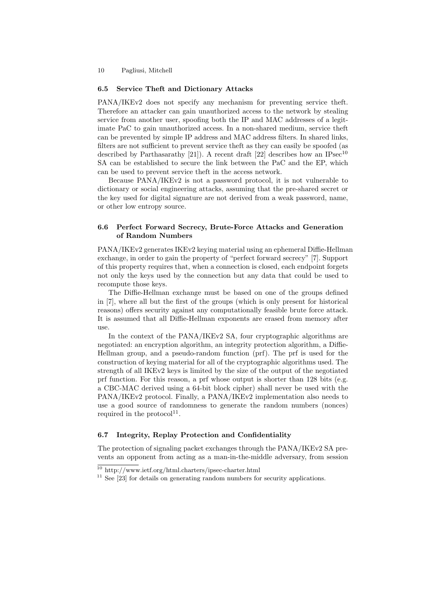#### 6.5 Service Theft and Dictionary Attacks

PANA/IKEv2 does not specify any mechanism for preventing service theft. Therefore an attacker can gain unauthorized access to the network by stealing service from another user, spoofing both the IP and MAC addresses of a legitimate PaC to gain unauthorized access. In a non-shared medium, service theft can be prevented by simple IP address and MAC address filters. In shared links, filters are not sufficient to prevent service theft as they can easily be spoofed (as described by Parthasarathy [21]). A recent draft [22] describes how an  $IPsec^{10}$ SA can be established to secure the link between the PaC and the EP, which can be used to prevent service theft in the access network.

Because PANA/IKEv2 is not a password protocol, it is not vulnerable to dictionary or social engineering attacks, assuming that the pre-shared secret or the key used for digital signature are not derived from a weak password, name, or other low entropy source.

## 6.6 Perfect Forward Secrecy, Brute-Force Attacks and Generation of Random Numbers

PANA/IKEv2 generates IKEv2 keying material using an ephemeral Diffie-Hellman exchange, in order to gain the property of "perfect forward secrecy" [7]. Support of this property requires that, when a connection is closed, each endpoint forgets not only the keys used by the connection but any data that could be used to recompute those keys.

The Diffie-Hellman exchange must be based on one of the groups defined in [7], where all but the first of the groups (which is only present for historical reasons) offers security against any computationally feasible brute force attack. It is assumed that all Diffie-Hellman exponents are erased from memory after use.

In the context of the PANA/IKEv2 SA, four cryptographic algorithms are negotiated: an encryption algorithm, an integrity protection algorithm, a Diffie-Hellman group, and a pseudo-random function (prf). The prf is used for the construction of keying material for all of the cryptographic algorithms used. The strength of all IKEv2 keys is limited by the size of the output of the negotiated prf function. For this reason, a prf whose output is shorter than 128 bits (e.g. a CBC-MAC derived using a 64-bit block cipher) shall never be used with the PANA/IKEv2 protocol. Finally, a PANA/IKEv2 implementation also needs to use a good source of randomness to generate the random numbers (nonces) required in the protocol $^{11}$ .

### 6.7 Integrity, Replay Protection and Confidentiality

The protection of signaling packet exchanges through the PANA/IKEv2 SA prevents an opponent from acting as a man-in-the-middle adversary, from session

<sup>10</sup> http://www.ietf.org/html.charters/ipsec-charter.html

 $11$  See [23] for details on generating random numbers for security applications.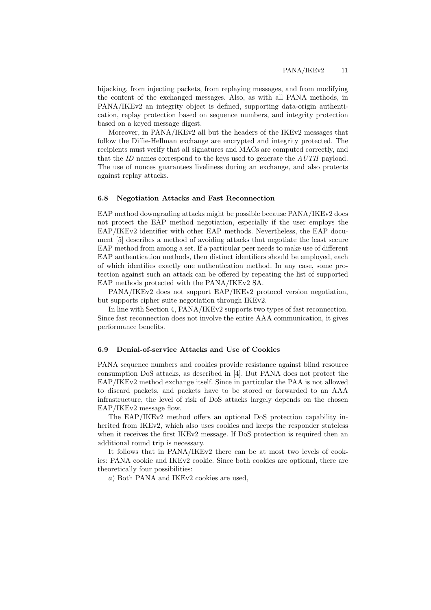hijacking, from injecting packets, from replaying messages, and from modifying the content of the exchanged messages. Also, as with all PANA methods, in PANA/IKEv2 an integrity object is defined, supporting data-origin authentication, replay protection based on sequence numbers, and integrity protection based on a keyed message digest.

Moreover, in PANA/IKEv2 all but the headers of the IKEv2 messages that follow the Diffie-Hellman exchange are encrypted and integrity protected. The recipients must verify that all signatures and MACs are computed correctly, and that the ID names correspond to the keys used to generate the AUTH payload. The use of nonces guarantees liveliness during an exchange, and also protects against replay attacks.

#### 6.8 Negotiation Attacks and Fast Reconnection

EAP method downgrading attacks might be possible because PANA/IKEv2 does not protect the EAP method negotiation, especially if the user employs the EAP/IKEv2 identifier with other EAP methods. Nevertheless, the EAP document [5] describes a method of avoiding attacks that negotiate the least secure EAP method from among a set. If a particular peer needs to make use of different EAP authentication methods, then distinct identifiers should be employed, each of which identifies exactly one authentication method. In any case, some protection against such an attack can be offered by repeating the list of supported EAP methods protected with the PANA/IKEv2 SA.

PANA/IKEv2 does not support EAP/IKEv2 protocol version negotiation, but supports cipher suite negotiation through IKEv2.

In line with Section 4, PANA/IKEv2 supports two types of fast reconnection. Since fast reconnection does not involve the entire AAA communication, it gives performance benefits.

#### 6.9 Denial-of-service Attacks and Use of Cookies

PANA sequence numbers and cookies provide resistance against blind resource consumption DoS attacks, as described in [4]. But PANA does not protect the EAP/IKEv2 method exchange itself. Since in particular the PAA is not allowed to discard packets, and packets have to be stored or forwarded to an AAA infrastructure, the level of risk of DoS attacks largely depends on the chosen EAP/IKEv2 message flow.

The EAP/IKEv2 method offers an optional DoS protection capability inherited from IKEv2, which also uses cookies and keeps the responder stateless when it receives the first IKEv2 message. If DoS protection is required then an additional round trip is necessary.

It follows that in PANA/IKEv2 there can be at most two levels of cookies: PANA cookie and IKEv2 cookie. Since both cookies are optional, there are theoretically four possibilities:

a) Both PANA and IKEv2 cookies are used,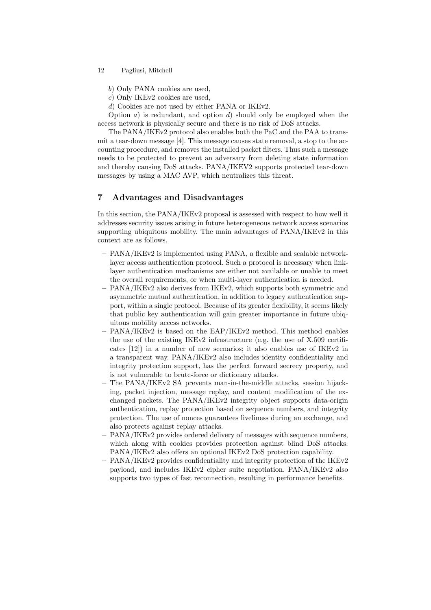- b) Only PANA cookies are used,
- c) Only IKEv2 cookies are used,
- d) Cookies are not used by either PANA or IKEv2.

Option  $a$ ) is redundant, and option  $d$ ) should only be employed when the access network is physically secure and there is no risk of DoS attacks.

The PANA/IKEv2 protocol also enables both the PaC and the PAA to transmit a tear-down message [4]. This message causes state removal, a stop to the accounting procedure, and removes the installed packet filters. Thus such a message needs to be protected to prevent an adversary from deleting state information and thereby causing DoS attacks. PANA/IKEV2 supports protected tear-down messages by using a MAC AVP, which neutralizes this threat.

# 7 Advantages and Disadvantages

In this section, the PANA/IKEv2 proposal is assessed with respect to how well it addresses security issues arising in future heterogeneous network access scenarios supporting ubiquitous mobility. The main advantages of PANA/IKEv2 in this context are as follows.

- PANA/IKEv2 is implemented using PANA, a flexible and scalable networklayer access authentication protocol. Such a protocol is necessary when linklayer authentication mechanisms are either not available or unable to meet the overall requirements, or when multi-layer authentication is needed.
- PANA/IKEv2 also derives from IKEv2, which supports both symmetric and asymmetric mutual authentication, in addition to legacy authentication support, within a single protocol. Because of its greater flexibility, it seems likely that public key authentication will gain greater importance in future ubiquitous mobility access networks.
- PANA/IKEv2 is based on the EAP/IKEv2 method. This method enables the use of the existing IKEv2 infrastructure (e.g. the use of X.509 certificates [12]) in a number of new scenarios; it also enables use of IKEv2 in a transparent way. PANA/IKEv2 also includes identity confidentiality and integrity protection support, has the perfect forward secrecy property, and is not vulnerable to brute-force or dictionary attacks.
- The PANA/IKEv2 SA prevents man-in-the-middle attacks, session hijacking, packet injection, message replay, and content modification of the exchanged packets. The PANA/IKEv2 integrity object supports data-origin authentication, replay protection based on sequence numbers, and integrity protection. The use of nonces guarantees liveliness during an exchange, and also protects against replay attacks.
- PANA/IKEv2 provides ordered delivery of messages with sequence numbers, which along with cookies provides protection against blind DoS attacks. PANA/IKEv2 also offers an optional IKEv2 DoS protection capability.
- PANA/IKEv2 provides confidentiality and integrity protection of the IKEv2 payload, and includes IKEv2 cipher suite negotiation. PANA/IKEv2 also supports two types of fast reconnection, resulting in performance benefits.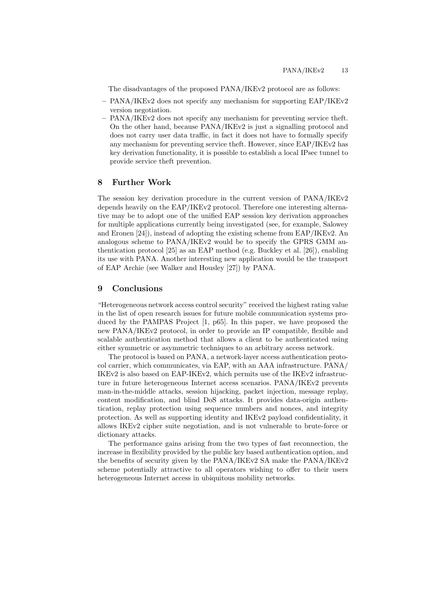The disadvantages of the proposed PANA/IKEv2 protocol are as follows:

- $-$  PANA/IKEv2 does not specify any mechanism for supporting EAP/IKEv2 version negotiation.
- $-$  PANA/IKE<sub>v2</sub> does not specify any mechanism for preventing service theft. On the other hand, because PANA/IKEv2 is just a signalling protocol and does not carry user data traffic, in fact it does not have to formally specify any mechanism for preventing service theft. However, since EAP/IKEv2 has key derivation functionality, it is possible to establish a local IPsec tunnel to provide service theft prevention.

## 8 Further Work

The session key derivation procedure in the current version of PANA/IKEv2 depends heavily on the EAP/IKEv2 protocol. Therefore one interesting alternative may be to adopt one of the unified EAP session key derivation approaches for multiple applications currently being investigated (see, for example, Salowey and Eronen [24]), instead of adopting the existing scheme from EAP/IKEv2. An analogous scheme to PANA/IKEv2 would be to specify the GPRS GMM authentication protocol [25] as an EAP method (e.g. Buckley et al. [26]), enabling its use with PANA. Another interesting new application would be the transport of EAP Archie (see Walker and Housley [27]) by PANA.

## 9 Conclusions

"Heterogeneous network access control security" received the highest rating value in the list of open research issues for future mobile communication systems produced by the PAMPAS Project [1, p65]. In this paper, we have proposed the new PANA/IKEv2 protocol, in order to provide an IP compatible, flexible and scalable authentication method that allows a client to be authenticated using either symmetric or asymmetric techniques to an arbitrary access network.

The protocol is based on PANA, a network-layer access authentication protocol carrier, which communicates, via EAP, with an AAA infrastructure. PANA/ IKEv2 is also based on EAP-IKEv2, which permits use of the IKEv2 infrastructure in future heterogeneous Internet access scenarios. PANA/IKEv2 prevents man-in-the-middle attacks, session hijacking, packet injection, message replay, content modification, and blind DoS attacks. It provides data-origin authentication, replay protection using sequence numbers and nonces, and integrity protection. As well as supporting identity and IKEv2 payload confidentiality, it allows IKEv2 cipher suite negotiation, and is not vulnerable to brute-force or dictionary attacks.

The performance gains arising from the two types of fast reconnection, the increase in flexibility provided by the public key based authentication option, and the benefits of security given by the PANA/IKEv2 SA make the PANA/IKEv2 scheme potentially attractive to all operators wishing to offer to their users heterogeneous Internet access in ubiquitous mobility networks.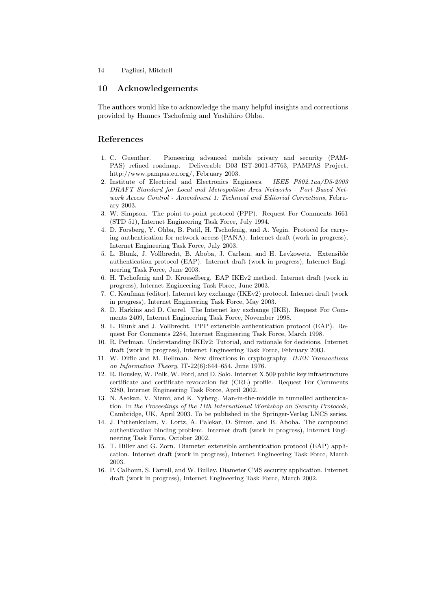## 10 Acknowledgements

The authors would like to acknowledge the many helpful insights and corrections provided by Hannes Tschofenig and Yoshihiro Ohba.

# References

- 1. C. Guenther. Pioneering advanced mobile privacy and security (PAM-PAS) refined roadmap. Deliverable D03 IST-2001-37763, PAMPAS Project, http://www.pampas.eu.org/, February 2003.
- 2. Institute of Electrical and Electronics Engineers. IEEE P802.1aa/D5-2003 DRAFT Standard for Local and Metropolitan Area Networks - Port Based Network Access Control - Amendment 1: Technical and Editorial Corrections, February 2003.
- 3. W. Simpson. The point-to-point protocol (PPP). Request For Comments 1661 (STD 51), Internet Engineering Task Force, July 1994.
- 4. D. Forsberg, Y. Ohba, B. Patil, H. Tschofenig, and A. Yegin. Protocol for carrying authentication for network access (PANA). Internet draft (work in progress), Internet Engineering Task Force, July 2003.
- 5. L. Blunk, J. Vollbrecht, B. Aboba, J. Carlson, and H. Levkowetz. Extensible authentication protocol (EAP). Internet draft (work in progress), Internet Engineering Task Force, June 2003.
- 6. H. Tschofenig and D. Kroeselberg. EAP IKEv2 method. Internet draft (work in progress), Internet Engineering Task Force, June 2003.
- 7. C. Kaufman (editor). Internet key exchange (IKEv2) protocol. Internet draft (work in progress), Internet Engineering Task Force, May 2003.
- 8. D. Harkins and D. Carrel. The Internet key exchange (IKE). Request For Comments 2409, Internet Engineering Task Force, November 1998.
- 9. L. Blunk and J. Vollbrecht. PPP extensible authentication protocol (EAP). Request For Comments 2284, Internet Engineering Task Force, March 1998.
- 10. R. Perlman. Understanding IKEv2: Tutorial, and rationale for decisions. Internet draft (work in progress), Internet Engineering Task Force, February 2003.
- 11. W. Diffie and M. Hellman. New directions in cryptography. IEEE Transactions on Information Theory, IT-22(6):644–654, June 1976.
- 12. R. Housley, W. Polk, W. Ford, and D. Solo. Internet X.509 public key infrastructure certificate and certificate revocation list (CRL) profile. Request For Comments 3280, Internet Engineering Task Force, April 2002.
- 13. N. Asokan, V. Niemi, and K. Nyberg. Man-in-the-middle in tunnelled authentication. In the Proceedings of the 11th International Workshop on Security Protocols, Cambridge, UK, April 2003. To be published in the Springer-Verlag LNCS series.
- 14. J. Puthenkulam, V. Lortz, A. Palekar, D. Simon, and B. Aboba. The compound authentication binding problem. Internet draft (work in progress), Internet Engineering Task Force, October 2002.
- 15. T. Hiller and G. Zorn. Diameter extensible authentication protocol (EAP) application. Internet draft (work in progress), Internet Engineering Task Force, March 2003.
- 16. P. Calhoun, S. Farrell, and W. Bulley. Diameter CMS security application. Internet draft (work in progress), Internet Engineering Task Force, March 2002.